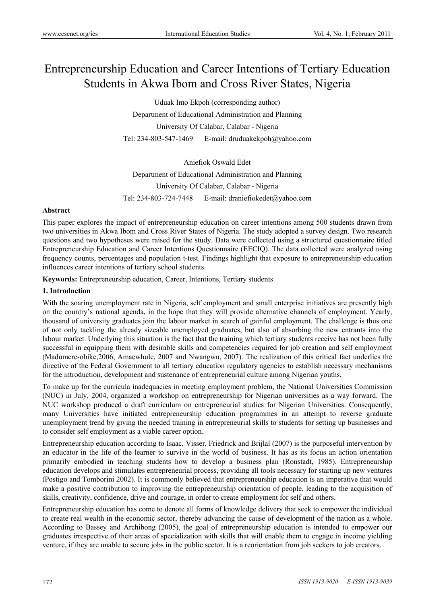# Entrepreneurship Education and Career Intentions of Tertiary Education Students in Akwa Ibom and Cross River States, Nigeria

Uduak Imo Ekpoh (corresponding author) Department of Educational Administration and Planning University Of Calabar, Calabar - Nigeria Tel: 234-803-547-1469 E-mail: druduakekpoh@yahoo.com

Aniefiok Oswald Edet Department of Educational Administration and Planning University Of Calabar, Calabar - Nigeria Tel: 234-803-724-7448 E-mail: draniefiokedet@yahoo.com

#### **Abstract**

This paper explores the impact of entrepreneurship education on career intentions among 500 students drawn from two universities in Akwa Ibom and Cross River States of Nigeria. The study adopted a survey design. Two research questions and two hypotheses were raised for the study. Data were collected using a structured questionnaire titled Entrepreneurship Education and Career Intentions Questionnaire (EECIQ). The data collected were analyzed using frequency counts, percentages and population t-test. Findings highlight that exposure to entrepreneurship education influences career intentions of tertiary school students.

**Keywords:** Entrepreneurship education, Career, Intentions, Tertiary students

## **1. Introduction**

With the soaring unemployment rate in Nigeria, self employment and small enterprise initiatives are presently high on the country's national agenda, in the hope that they will provide alternative channels of employment. Yearly, thousand of university graduates join the labour market in search of gainful employment. The challenge is thus one of not only tackling the already sizeable unemployed graduates, but also of absorbing the new entrants into the labour market. Underlying this situation is the fact that the training which tertiary students receive has not been fully successful in equipping them with desirable skills and competencies required for job creation and self employment (Madumere-obike,2006, Amaewhule, 2007 and Nwangwu, 2007). The realization of this critical fact underlies the directive of the Federal Government to all tertiary education regulatory agencies to establish necessary mechanisms for the introduction, development and sustenance of entrepreneurial culture among Nigerian youths.

To make up for the curricula inadequacies in meeting employment problem, the National Universities Commission (NUC) in July, 2004, organized a workshop on entrepreneurship for Nigerian universities as a way forward. The NUC workshop produced a draft curriculum on entrepreneurial studies for Nigerian Universities. Consequently, many Universities have initiated entrepreneurship education programmes in an attempt to reverse graduate unemployment trend by giving the needed training in entrepreneurial skills to students for setting up businesses and to consider self employment as a viable career option.

Entrepreneurship education according to Isaac, Visser, Friedrick and Brijlal (2007) is the purposeful intervention by an educator in the life of the learner to survive in the world of business. It has as its focus an action orientation primarily embodied in teaching students how to develop a business plan (Ronstadt, 1985). Entrepreneurship education develops and stimulates entrepreneurial process, providing all tools necessary for starting up new ventures (Postigo and Tomborini 2002). It is commonly believed that entrepreneurship education is an imperative that would make a positive contribution to improving the entrepreneurship orientation of people, leading to the acquisition of skills, creativity, confidence, drive and courage, in order to create employment for self and others.

Entrepreneurship education has come to denote all forms of knowledge delivery that seek to empower the individual to create real wealth in the economic sector, thereby advancing the cause of development of the nation as a whole. According to Bassey and Archibong (2005), the goal of entrepreneurship education is intended to empower our graduates irrespective of their areas of specialization with skills that will enable them to engage in income yielding venture, if they are unable to secure jobs in the public sector. It is a reorientation from job seekers to job creators.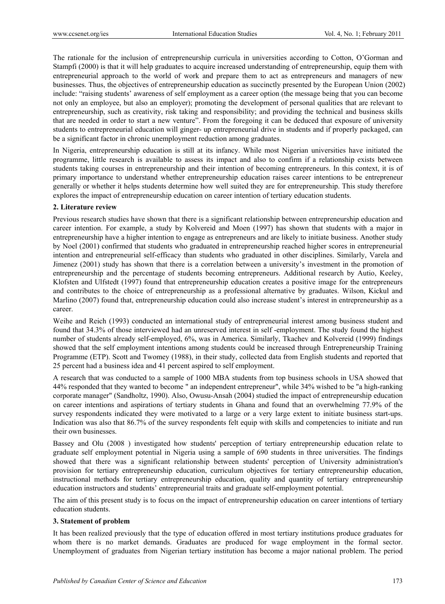The rationale for the inclusion of entrepreneurship curricula in universities according to Cotton, O'Gorman and Stampfi (2000) is that it will help graduates to acquire increased understanding of entrepreneurship, equip them with entrepreneurial approach to the world of work and prepare them to act as entrepreneurs and managers of new businesses. Thus, the objectives of entrepreneurship education as succinctly presented by the European Union (2002) include: "raising students' awareness of self employment as a career option (the message being that you can become not only an employee, but also an employer); promoting the development of personal qualities that are relevant to entrepreneurship, such as creativity, risk taking and responsibility; and providing the technical and business skills that are needed in order to start a new venture". From the foregoing it can be deduced that exposure of university students to entrepreneurial education will ginger- up entrepreneurial drive in students and if properly packaged, can be a significant factor in chronic unemployment reduction among graduates.

In Nigeria, entrepreneurship education is still at its infancy. While most Nigerian universities have initiated the programme, little research is available to assess its impact and also to confirm if a relationship exists between students taking courses in entrepreneurship and their intention of becoming entrepreneurs. In this context, it is of primary importance to understand whether entrepreneurship education raises career intentions to be entrepreneur generally or whether it helps students determine how well suited they are for entrepreneurship. This study therefore explores the impact of entrepreneurship education on career intention of tertiary education students.

## **2. Literature review**

Previous research studies have shown that there is a significant relationship between entrepreneurship education and career intention. For example, a study by Kolvereid and Moen (1997) has shown that students with a major in entrepreneurship have a higher intention to engage as entrepreneurs and are likely to initiate business. Another study by Noel (2001) confirmed that students who graduated in entrepreneurship reached higher scores in entrepreneurial intention and entrepreneurial self-efficacy than students who graduated in other disciplines. Similarly, Varela and Jimenez (2001) study has shown that there is a correlation between a university's investment in the promotion of entrepreneurship and the percentage of students becoming entrepreneurs. Additional research by Autio, Keeley, Klofsten and Ulfstedt (1997) found that entrepreneurship education creates a positive image for the entrepreneurs and contributes to the choice of entrepreneurship as a professional alternative by graduates. Wilson, Kickul and Marlino (2007) found that, entrepreneurship education could also increase student's interest in entrepreneurship as a career.

Weihe and Reich (1993) conducted an international study of entrepreneurial interest among business student and found that 34.3% of those interviewed had an unreserved interest in self -employment. The study found the highest number of students already self-employed, 6%, was in America. Similarly, Tkachev and Kolvereid (1999) findings showed that the self employment intentions among students could be increased through Entrepreneurship Training Programme (ETP). Scott and Twomey (1988), in their study, collected data from English students and reported that 25 percent had a business idea and 41 percent aspired to self employment.

A research that was conducted to a sample of 1000 MBA students from top business schools in USA showed that 44% responded that they wanted to become " an independent entrepreneur", while 34% wished to be "a high-ranking corporate manager" (Sandholtz, 1990). Also, Owusu-Ansah (2004) studied the impact of entrepreneurship education on career intentions and aspirations of tertiary students in Ghana and found that an overwhelming 77.9% of the survey respondents indicated they were motivated to a large or a very large extent to initiate business start-ups. Indication was also that 86.7% of the survey respondents felt equip with skills and competencies to initiate and run their own businesses.

Bassey and Olu (2008 ) investigated how students' perception of tertiary entrepreneurship education relate to graduate self employment potential in Nigeria using a sample of 690 students in three universities. The findings showed that there was a significant relationship between students' perception of University administration's provision for tertiary entrepreneurship education, curriculum objectives for tertiary entrepreneurship education, instructional methods for tertiary entrepreneurship education, quality and quantity of tertiary entrepreneurship education instructors and students' entrepreneurial traits and graduate self-employment potential.

The aim of this present study is to focus on the impact of entrepreneurship education on career intentions of tertiary education students.

## **3. Statement of problem**

It has been realized previously that the type of education offered in most tertiary institutions produce graduates for whom there is no market demands. Graduates are produced for wage employment in the formal sector. Unemployment of graduates from Nigerian tertiary institution has become a major national problem. The period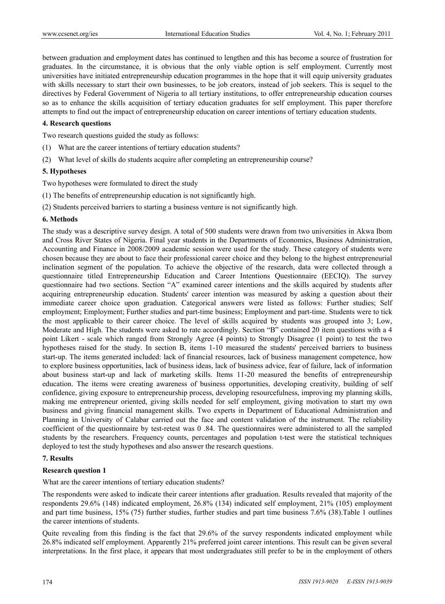between graduation and employment dates has continued to lengthen and this has become a source of frustration for graduates. In the circumstance, it is obvious that the only viable option is self employment. Currently most universities have initiated entrepreneurship education programmes in the hope that it will equip university graduates with skills necessary to start their own businesses, to be job creators, instead of job seekers. This is sequel to the directives by Federal Government of Nigeria to all tertiary institutions, to offer entrepreneurship education courses so as to enhance the skills acquisition of tertiary education graduates for self employment. This paper therefore attempts to find out the impact of entrepreneurship education on career intentions of tertiary education students.

## **4. Research questions**

Two research questions guided the study as follows:

- (1) What are the career intentions of tertiary education students?
- (2) What level of skills do students acquire after completing an entrepreneurship course?

#### **5. Hypotheses**

Two hypotheses were formulated to direct the study

- (1) The benefits of entrepreneurship education is not significantly high.
- (2) Students perceived barriers to starting a business venture is not significantly high.

#### **6. Methods**

The study was a descriptive survey design. A total of 500 students were drawn from two universities in Akwa Ibom and Cross River States of Nigeria. Final year students in the Departments of Economics, Business Administration, Accounting and Finance in 2008/2009 academic session were used for the study. These category of students were chosen because they are about to face their professional career choice and they belong to the highest entrepreneurial inclination segment of the population. To achieve the objective of the research, data were collected through a questionnaire titled Entrepreneurship Education and Career Intentions Questionnaire (EECIQ). The survey questionnaire had two sections. Section "A" examined career intentions and the skills acquired by students after acquiring entrepreneurship education. Students' career intention was measured by asking a question about their immediate career choice upon graduation. Categorical answers were listed as follows: Further studies; Self employment; Employment; Further studies and part-time business; Employment and part-time. Students were to tick the most applicable to their career choice. The level of skills acquired by students was grouped into 3; Low, Moderate and High. The students were asked to rate accordingly. Section "B" contained 20 item questions with a 4 point Likert - scale which ranged from Strongly Agree (4 points) to Strongly Disagree (1 point) to test the two hypotheses raised for the study. In section B, items 1-10 measured the students' perceived barriers to business start-up. The items generated included: lack of financial resources, lack of business management competence, how to explore business opportunities, lack of business ideas, lack of business advice, fear of failure, lack of information about business start-up and lack of marketing skills. Items 11-20 measured the benefits of entrepreneurship education. The items were creating awareness of business opportunities, developing creativity, building of self confidence, giving exposure to entrepreneurship process, developing resourcefulness, improving my planning skills, making me entrepreneur oriented, giving skills needed for self employment, giving motivation to start my own business and giving financial management skills. Two experts in Department of Educational Administration and Planning in University of Calabar carried out the face and content validation of the instrument. The reliability coefficient of the questionnaire by test-retest was 0 .84. The questionnaires were administered to all the sampled students by the researchers. Frequency counts, percentages and population t-test were the statistical techniques deployed to test the study hypotheses and also answer the research questions.

#### **7. Results**

#### **Research question 1**

What are the career intentions of tertiary education students?

The respondents were asked to indicate their career intentions after graduation. Results revealed that majority of the respondents 29.6% (148) indicated employment, 26.8% (134) indicated self employment, 21% (105) employment and part time business, 15% (75) further studies, further studies and part time business 7.6% (38).Table 1 outlines the career intentions of students.

Quite revealing from this finding is the fact that 29.6% of the survey respondents indicated employment while 26.8% indicated self employment. Apparently 21% preferred joint career intentions. This result can be given several interpretations. In the first place, it appears that most undergraduates still prefer to be in the employment of others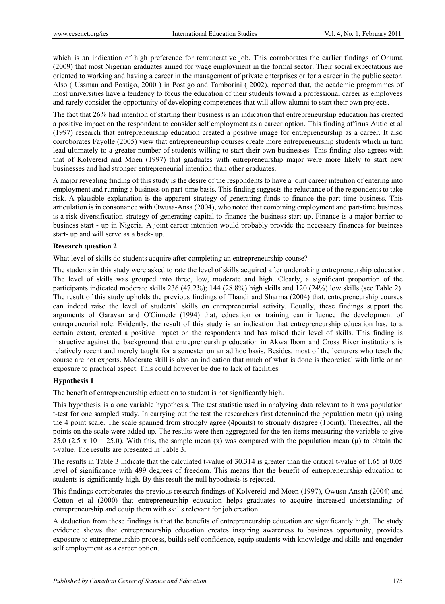which is an indication of high preference for remunerative job. This corroborates the earlier findings of Onuma (2009) that most Nigerian graduates aimed for wage employment in the formal sector. Their social expectations are oriented to working and having a career in the management of private enterprises or for a career in the public sector. Also ( Ussman and Postigo, 2000 ) in Postigo and Tamborini ( 2002), reported that, the academic programmes of most universities have a tendency to focus the education of their students toward a professional career as employees and rarely consider the opportunity of developing competences that will allow alumni to start their own projects.

The fact that 26% had intention of starting their business is an indication that entrepreneurship education has created a positive impact on the respondent to consider self employment as a career option. This finding affirms Autio et al (1997) research that entrepreneurship education created a positive image for entrepreneurship as a career. It also corroborates Fayolle (2005) view that entrepreneurship courses create more entrepreneurship students which in turn lead ultimately to a greater number of students willing to start their own businesses. This finding also agrees with that of Kolvereid and Moen (1997) that graduates with entrepreneurship major were more likely to start new businesses and had stronger entrepreneurial intention than other graduates.

A major revealing finding of this study is the desire of the respondents to have a joint career intention of entering into employment and running a business on part-time basis. This finding suggests the reluctance of the respondents to take risk. A plausible explanation is the apparent strategy of generating funds to finance the part time business. This articulation is in consonance with Owusa-Ansa (2004), who noted that combining employment and part-time business is a risk diversification strategy of generating capital to finance the business start-up. Finance is a major barrier to business start - up in Nigeria. A joint career intention would probably provide the necessary finances for business start- up and will serve as a back- up.

## **Research question 2**

What level of skills do students acquire after completing an entrepreneurship course?

The students in this study were asked to rate the level of skills acquired after undertaking entrepreneurship education. The level of skills was grouped into three, low, moderate and high. Clearly, a significant proportion of the participants indicated moderate skills 236 (47.2%); 144 (28.8%) high skills and 120 (24%) low skills (see Table 2). The result of this study upholds the previous findings of Thandi and Sharma (2004) that, entrepreneurship courses can indeed raise the level of students' skills on entrepreneurial activity. Equally, these findings support the arguments of Garavan and O'Cinnede (1994) that, education or training can influence the development of entrepreneurial role. Evidently, the result of this study is an indication that entrepreneurship education has, to a certain extent, created a positive impact on the respondents and has raised their level of skills. This finding is instructive against the background that entrepreneurship education in Akwa Ibom and Cross River institutions is relatively recent and merely taught for a semester on an ad hoc basis. Besides, most of the lecturers who teach the course are not experts. Moderate skill is also an indication that much of what is done is theoretical with little or no exposure to practical aspect. This could however be due to lack of facilities.

## **Hypothesis 1**

The benefit of entrepreneurship education to student is not significantly high.

This hypothesis is a one variable hypothesis. The test statistic used in analyzing data relevant to it was population t-test for one sampled study. In carrying out the test the researchers first determined the population mean  $(\mu)$  using the 4 point scale. The scale spanned from strongly agree (4points) to strongly disagree (1point). Thereafter, all the points on the scale were added up. The results were then aggregated for the ten items measuring the variable to give 25.0 (2.5 x 10 = 25.0). With this, the sample mean (x) was compared with the population mean ( $\mu$ ) to obtain the t-value. The results are presented in Table 3.

The results in Table 3 indicate that the calculated t-value of 30.314 is greater than the critical t-value of 1.65 at 0.05 level of significance with 499 degrees of freedom. This means that the benefit of entrepreneurship education to students is significantly high. By this result the null hypothesis is rejected.

This findings corroborates the previous research findings of Kolvereid and Moen (1997), Owusu-Ansah (2004) and Cotton et al (2000) that entrepreneurship education helps graduates to acquire increased understanding of entrepreneurship and equip them with skills relevant for job creation.

A deduction from these findings is that the benefits of entrepreneurship education are significantly high. The study evidence shows that entrepreneurship education creates inspiring awareness to business opportunity, provides exposure to entrepreneurship process, builds self confidence, equip students with knowledge and skills and engender self employment as a career option.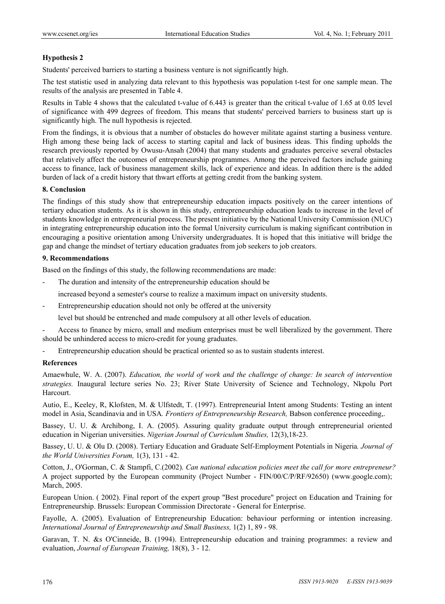## **Hypothesis 2**

Students' perceived barriers to starting a business venture is not significantly high.

The test statistic used in analyzing data relevant to this hypothesis was population t-test for one sample mean. The results of the analysis are presented in Table 4.

Results in Table 4 shows that the calculated t-value of 6.443 is greater than the critical t-value of 1.65 at 0.05 level of significance with 499 degrees of freedom. This means that students' perceived barriers to business start up is significantly high. The null hypothesis is rejected.

From the findings, it is obvious that a number of obstacles do however militate against starting a business venture. High among these being lack of access to starting capital and lack of business ideas. This finding upholds the research previously reported by Owusu-Ansah (2004) that many students and graduates perceive several obstacles that relatively affect the outcomes of entrepreneurship programmes. Among the perceived factors include gaining access to finance, lack of business management skills, lack of experience and ideas. In addition there is the added burden of lack of a credit history that thwart efforts at getting credit from the banking system.

## **8. Conclusion**

The findings of this study show that entrepreneurship education impacts positively on the career intentions of tertiary education students. As it is shown in this study, entrepreneurship education leads to increase in the level of students knowledge in entrepreneurial process. The present initiative by the National University Commission (NUC) in integrating entrepreneurship education into the formal University curriculum is making significant contribution in encouraging a positive orientation among University undergraduates. It is hoped that this initiative will bridge the gap and change the mindset of tertiary education graduates from job seekers to job creators.

## **9. Recommendations**

Based on the findings of this study, the following recommendations are made:

The duration and intensity of the entrepreneurship education should be

increased beyond a semester's course to realize a maximum impact on university students.

Entrepreneurship education should not only be offered at the university

level but should be entrenched and made compulsory at all other levels of education.

- Access to finance by micro, small and medium enterprises must be well liberalized by the government. There should be unhindered access to micro-credit for young graduates.
- Entrepreneurship education should be practical oriented so as to sustain students interest.

## **References**

Amaewhule, W. A. (2007). *Education, the world of work and the challenge of change: In search of intervention strategies.* Inaugural lecture series No. 23; River State University of Science and Technology, Nkpolu Port Harcourt.

Autio, E., Keeley, R, Klofsten, M. & Ulfstedt, T. (1997). Entrepreneurial Intent among Students: Testing an intent model in Asia, Scandinavia and in USA*. Frontiers of Entrepreneurship Research,* Babson conference proceeding,.

Bassey, U. U. & Archibong, I. A. (2005). Assuring quality graduate output through entrepreneurial oriented education in Nigerian universities. *Nigerian Journal of Curriculum Studies,* 12(3),18-23.

Bassey, U. U. & Olu D. (2008). Tertiary Education and Graduate Self-Employment Potentials in Nigeria*. Journal of the World Universities Forum,* 1(3), 131 - 42.

Cotton, J., O'Gorman, C. & Stampfi, C.(2002). *Can national education policies meet the call for more entrepreneur?*  A project supported by the European community (Project Number - FIN/00/C/P/RF/92650) (www.google.com); March, 2005.

European Union. ( 2002). Final report of the expert group "Best procedure" project on Education and Training for Entrepreneurship. Brussels: European Commission Directorate - General for Enterprise.

Fayolle, A. (2005). Evaluation of Entrepreneurship Education: behaviour performing or intention increasing. *International Journal of Entrepreneurship and Small Business,* 1(2) 1, 89 - 98.

Garavan, T. N. &s O'Cinneide, B. (1994). Entrepreneurship education and training programmes: a review and evaluation, *Journal of European Training,* 18(8), 3 - 12.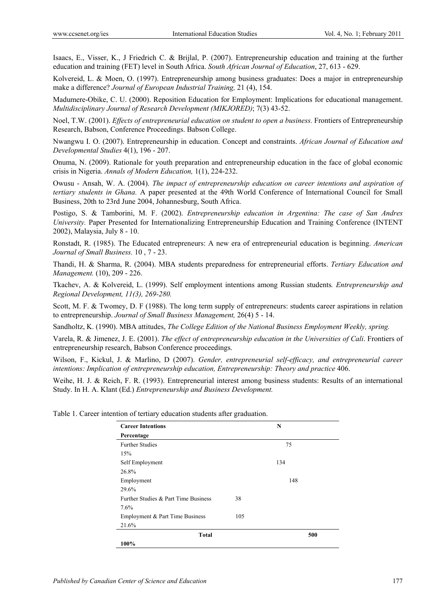Isaacs, E., Visser, K., J Friedrich C. & Brijlal, P. (2007). Entrepreneurship education and training at the further education and training (FET) level in South Africa. *South African Journal of Education*, 27, 613 - 629.

Kolvereid, L. & Moen, O. (1997). Entrepreneurship among business graduates: Does a major in entrepreneurship make a difference? *Journal of European Industrial Training,* 21 (4), 154.

Madumere-Obike, C. U. (2000). Reposition Education for Employment: Implications for educational management. *Multidisciplinary Journal of Research Development (MIKJORED)*; 7(3) 43-52.

Noel, T.W. (2001). *Effects of entrepreneurial education on student to open a business.* Frontiers of Entrepreneurship Research, Babson, Conference Proceedings. Babson College.

Nwangwu I. O. (2007). Entrepreneurship in education. Concept and constraints. *African Journal of Education and Developmental Studies* 4(1), 196 - 207.

Onuma, N. (2009). Rationale for youth preparation and entrepreneurship education in the face of global economic crisis in Nigeria. *Annals of Modern Education,* 1(1), 224-232.

Owusu - Ansah, W. A. (2004). *The impact of entrepreneurship education on career intentions and aspiration of tertiary students in Ghana.* A paper presented at the 49th World Conference of International Council for Small Business, 20th to 23rd June 2004, Johannesburg, South Africa.

Postigo, S. & Tamborini, M. F. (2002). *Entrepreneurship education in Argentina: The case of San Andres University.* Paper Presented for Internationalizing Entrepreneurship Education and Training Conference (INTENT 2002), Malaysia, July 8 - 10.

Ronstadt, R. (1985). The Educated entrepreneurs: A new era of entrepreneurial education is beginning. *American Journal of Small Business.* 10 , 7 - 23.

Thandi, H. & Sharma, R. (2004). MBA students preparedness for entrepreneurial efforts. *Tertiary Education and Management.* (10), 209 - 226.

Tkachev, A. & Kolvereid, L. (1999). Self employment intentions among Russian students*. Entrepreneurship and Regional Development, 11(3), 269-280.*

Scott, M. F. & Twomey, D. F (1988). The long term supply of entrepreneurs: students career aspirations in relation to entrepreneurship. *Journal of Small Business Management,* 26(4) 5 - 14.

Sandholtz, K. (1990). MBA attitudes, *The College Edition of the National Business Employment Weekly, spring.* 

Varela, R. & Jimenez, J. E. (2001). *The effect of entrepreneurship education in the Universities of Cali*. Frontiers of entrepreneurship research, Babson Conference proceedings.

Wilson, F., Kickul, J. & Marlino, D (2007). *Gender, entrepreneurial self-efficacy, and entrepreneurial career intentions: Implication of entrepreneurship education, Entrepreneurship: Theory and practice* 406.

Weihe, H. J. & Reich, F. R. (1993). Entrepreneurial interest among business students: Results of an international Study. In H. A. Klant (Ed.) *Entrepreneurship and Business Development.* 

Table 1. Career intention of tertiary education students after graduation.

| <b>Career Intentions</b>             |     | N   |  |  |
|--------------------------------------|-----|-----|--|--|
| Percentage                           |     |     |  |  |
| <b>Further Studies</b>               |     | 75  |  |  |
| 15%                                  |     |     |  |  |
| Self Employment                      |     | 134 |  |  |
| 26.8%                                |     |     |  |  |
| Employment                           |     | 148 |  |  |
| 29.6%                                |     |     |  |  |
| Further Studies & Part Time Business | 38  |     |  |  |
| 7.6%                                 |     |     |  |  |
| Employment & Part Time Business      | 105 |     |  |  |
| 21.6%                                |     |     |  |  |
| <b>Total</b>                         |     | 500 |  |  |
| 100%                                 |     |     |  |  |